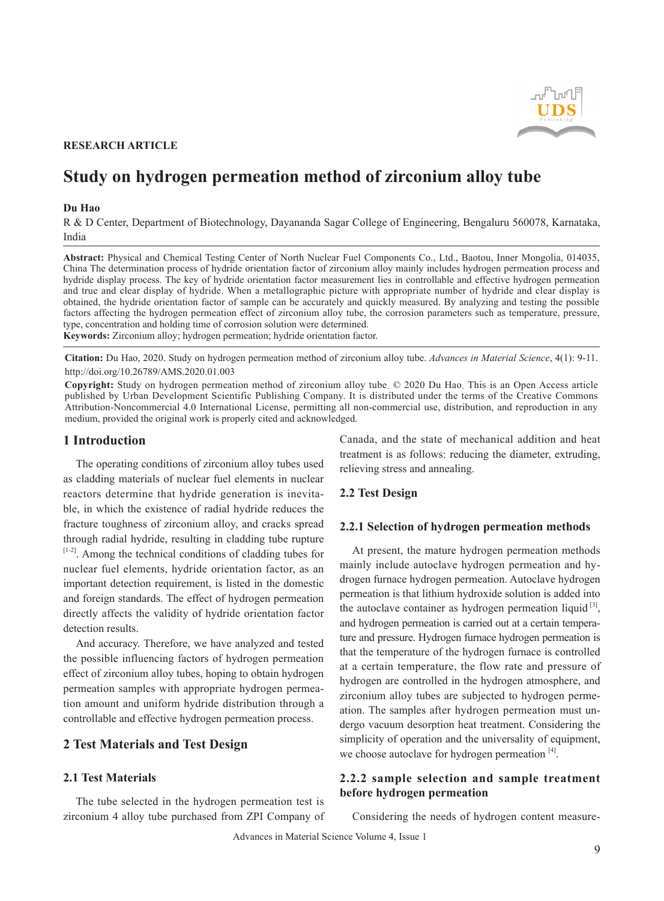

# **RESEARCH ARTICLE**

# **Study on hydrogen permeation method of zirconium alloy tube**

#### **Du Hao**

R & D Center, Department of Biotechnology, Dayananda Sagar College of Engineering, Bengaluru 560078, Karnataka, India

**Abstract:** Physical and Chemical Testing Center of North Nuclear Fuel Components Co., Ltd., Baotou, Inner Mongolia, 014035, China The determination process of hydride orientation factor of zirconium alloy mainly includes hydrogen permeation process and hydride display process. The key of hydride orientation factor measurement lies in controllable and effective hydrogen permeation and true and clear display of hydride. When a metallographic picture with appropriate number of hydride and clear display is obtained, the hydride orientation factor of sample can be accurately and quickly measured. By analyzing and testing the possible factors affecting the hydrogen permeation effect of zirconium alloy tube, the corrosion parameters such as temperature, pressure, type, concentration and holding time of corrosion solution were determined.

**Keywords:** Zirconium alloy; hydrogen permeation; hydride orientation factor.

**Citation:** Du Hao, 2020. Study on hydrogen permeation method of zirconium alloy tube. *Advances in Material Science*, 4(1): 9-11. http://doi.org/10.26789/AMS.2020.01.003

**Copyright:** Study on hydrogen permeation method of zirconium alloy tube. © 2020 Du Hao. This is an Open Access article published by Urban Development Scientific Publishing Company. It is distributed under the terms of the Creative Commons Attribution-Noncommercial 4.0 International License, permitting all non-commercial use, distribution, and reproduction in any medium, provided the original work is properly cited and acknowledged.

#### **1 Introduction**

The operating conditions of zirconium alloy tubes used as cladding materials of nuclear fuel elements in nuclear reactors determine that hydride generation is inevitable, in which the existence of radial hydride reduces the fracture toughness of zirconium alloy, and cracks spread through radial hydride, resulting in cladding tube rupture [1-2]. Among the technical conditions of cladding tubes for nuclear fuel elements, hydride orientation factor, as an important detection requirement, is listed in the domestic and foreign standards. The effect of hydrogen permeation directly affects the validity of hydride orientation factor detection results.

And accuracy. Therefore, we have analyzed and tested the possible influencing factors of hydrogen permeation effect of zirconium alloy tubes, hoping to obtain hydrogen permeation samples with appropriate hydrogen permeation amount and uniform hydride distribution through a controllable and effective hydrogen permeation process.

#### **2 Test Materials and Test Design**

## **2.1 Test Materials**

The tube selected in the hydrogen permeation test is zirconium 4 alloy tube purchased from ZPI Company of Canada, and the state of mechanical addition and heat treatment is as follows: reducing the diameter, extruding, relieving stress and annealing.

## **2.2 Test Design**

#### **2.2.1 Selection of hydrogen permeation methods**

At present, the mature hydrogen permeation methods mainly include autoclave hydrogen permeation and hydrogen furnace hydrogen permeation. Autoclave hydrogen permeation is that lithium hydroxide solution is added into the autoclave container as hydrogen permeation liquid  $[3]$ , and hydrogen permeation is carried out at a certain temperature and pressure. Hydrogen furnace hydrogen permeation is that the temperature of the hydrogen furnace is controlled at a certain temperature, the flow rate and pressure of hydrogen are controlled in the hydrogen atmosphere, and zirconium alloy tubes are subjected to hydrogen permeation. The samples after hydrogen permeation must undergo vacuum desorption heat treatment. Considering the simplicity of operation and the universality of equipment, we choose autoclave for hydrogen permeation  $[4]$ .

# **2.2.2 sample selection and sample treatment before hydrogen permeation**

Considering the needs of hydrogen content measure-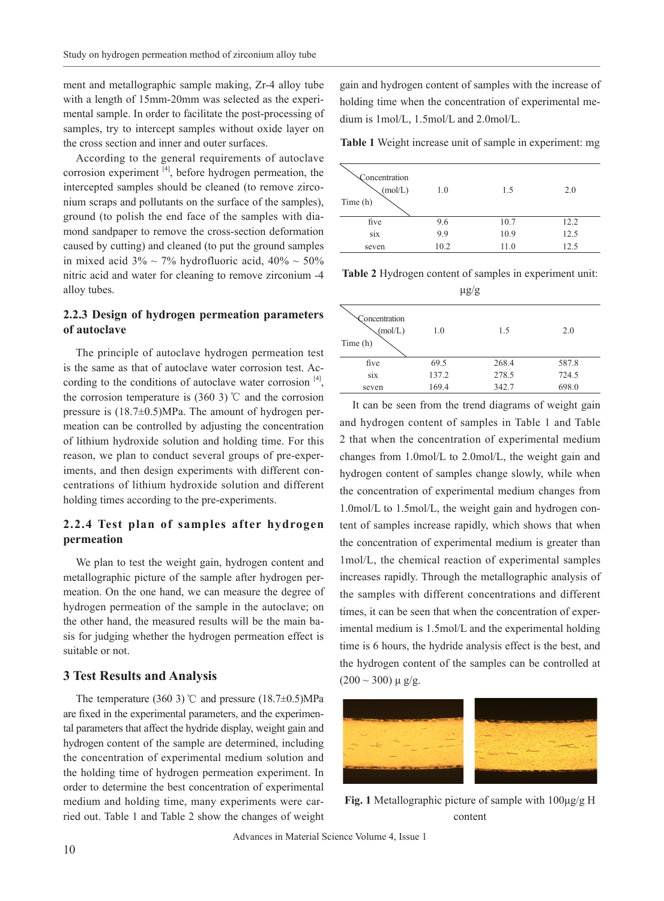ment and metallographic sample making, Zr-4 alloy tube with a length of 15mm-20mm was selected as the experimental sample. In order to facilitate the post-processing of samples, try to intercept samples without oxide layer on the cross section and inner and outer surfaces.

According to the general requirements of autoclave corrosion experiment  $[4]$ , before hydrogen permeation, the intercepted samples should be cleaned (to remove zirconium scraps and pollutants on the surface of the samples), ground (to polish the end face of the samples with diamond sandpaper to remove the cross-section deformation caused by cutting) and cleaned (to put the ground samples in mixed acid  $3\% \sim 7\%$  hydrofluoric acid,  $40\% \sim 50\%$ nitric acid and water for cleaning to remove zirconium -4 alloy tubes.

## **2.2.3 Design of hydrogen permeation parameters of autoclave**

The principle of autoclave hydrogen permeation test is the same as that of autoclave water corrosion test. According to the conditions of autoclave water corrosion [4], the corrosion temperature is  $(360\ 3)$  °C and the corrosion pressure is (18.7±0.5)MPa. The amount of hydrogen permeation can be controlled by adjusting the concentration of lithium hydroxide solution and holding time. For this reason, we plan to conduct several groups of pre-experiments, and then design experiments with different concentrations of lithium hydroxide solution and different holding times according to the pre-experiments.

# **2.2.4 Test plan of samples after hydrogen permeation**

We plan to test the weight gain, hydrogen content and metallographic picture of the sample after hydrogen permeation. On the one hand, we can measure the degree of hydrogen permeation of the sample in the autoclave; on the other hand, the measured results will be the main basis for judging whether the hydrogen permeation effect is suitable or not.

## **3 Test Results and Analysis**

The temperature (360 3)℃ and pressure (18.7±0.5)MPa are fixed in the experimental parameters, and the experimental parameters that affect the hydride display, weight gain and hydrogen content of the sample are determined, including the concentration of experimental medium solution and the holding time of hydrogen permeation experiment. In order to determine the best concentration of experimental medium and holding time, many experiments were carried out. Table 1 and Table 2 show the changes of weight gain and hydrogen content of samples with the increase of holding time when the concentration of experimental medium is 1mol/L, 1.5mol/L and 2.0mol/L.

**Table 1** Weight increase unit of sample in experiment: mg

| Concentration<br>(mol/L)<br>Time (h) | 1.0  | 1.5  | 2.0  |
|--------------------------------------|------|------|------|
| five                                 | 9.6  | 10.7 | 12.2 |
| <b>SIX</b>                           | 9.9  | 10.9 | 12.5 |
| seven                                | 10.2 | 11.0 | 12.5 |

**Table 2** Hydrogen content of samples in experiment unit:  $\frac{\ln 9}{9}$ 

| ro o                                 |       |       |       |  |
|--------------------------------------|-------|-------|-------|--|
| Concentration<br>(mol/L)<br>Time (h) | 1.0   | 1.5   | 2.0   |  |
| five                                 | 69.5  | 268.4 | 587.8 |  |
| S1X                                  | 137.2 | 278.5 | 724.5 |  |
| seven                                | 169.4 | 342.7 | 698.0 |  |

It can be seen from the trend diagrams of weight gain and hydrogen content of samples in Table 1 and Table 2 that when the concentration of experimental medium changes from 1.0mol/L to 2.0mol/L, the weight gain and hydrogen content of samples change slowly, while when the concentration of experimental medium changes from 1.0mol/L to 1.5mol/L, the weight gain and hydrogen content of samples increase rapidly, which shows that when the concentration of experimental medium is greater than 1mol/L, the chemical reaction of experimental samples increases rapidly. Through the metallographic analysis of the samples with different concentrations and different times, it can be seen that when the concentration of experimental medium is 1.5mol/L and the experimental holding time is 6 hours, the hydride analysis effect is the best, and the hydrogen content of the samples can be controlled at  $(200 \sim 300) \mu g/g.$ 



**Fig. 1** Metallographic picture of sample with 100μg/g H content